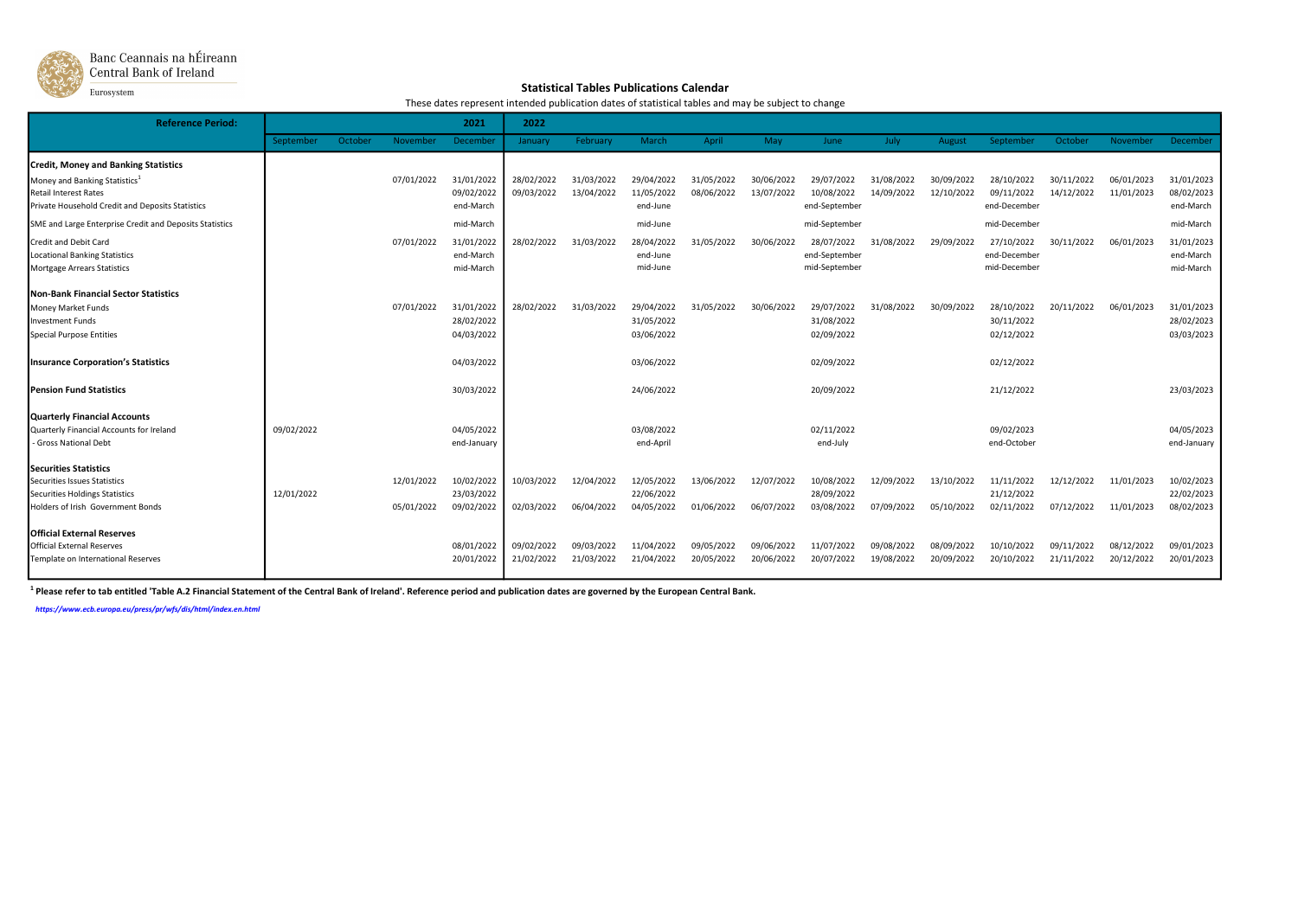

## Banc Ceannais na hÉireann<br>| Central Bank of Ireland

Eurosystem

## Statistical Tables Publications Calendar

These dates represent intended publication dates of statistical tables and may be subject to change

| <b>Reference Period:</b>                                                                                                                                                     |            |         |                          | 2021                                   | 2022                     |                          |                                        |                          |                          |                                              |                          |                          |                                            |                          |                          |                                        |
|------------------------------------------------------------------------------------------------------------------------------------------------------------------------------|------------|---------|--------------------------|----------------------------------------|--------------------------|--------------------------|----------------------------------------|--------------------------|--------------------------|----------------------------------------------|--------------------------|--------------------------|--------------------------------------------|--------------------------|--------------------------|----------------------------------------|
|                                                                                                                                                                              | September  | October | November                 | December                               | January                  | February                 | March                                  | April                    | May                      | June                                         | July                     | August                   | September                                  | October                  | November                 | December                               |
| <b>Credit, Money and Banking Statistics</b><br>Money and Banking Statistics <sup>1</sup><br><b>Retail Interest Rates</b><br>Private Household Credit and Deposits Statistics |            |         | 07/01/2022               | 31/01/2022<br>09/02/2022<br>end-March  | 28/02/2022<br>09/03/2022 | 31/03/2022<br>13/04/2022 | 29/04/2022<br>11/05/2022<br>end-June   | 31/05/2022<br>08/06/2022 | 30/06/2022<br>13/07/2022 | 29/07/2022<br>10/08/2022<br>end-September    | 31/08/2022<br>14/09/2022 | 30/09/2022<br>12/10/2022 | 28/10/2022<br>09/11/2022<br>end-December   | 30/11/2022<br>14/12/2022 | 06/01/2023<br>11/01/2023 | 31/01/2023<br>08/02/2023<br>end-March  |
| SME and Large Enterprise Credit and Deposits Statistics                                                                                                                      |            |         |                          | mid-March                              |                          |                          | mid-June                               |                          |                          | mid-September                                |                          |                          | mid-December                               |                          |                          | mid-March                              |
| Credit and Debit Card<br><b>Locational Banking Statistics</b><br>Mortgage Arrears Statistics                                                                                 |            |         | 07/01/2022               | 31/01/2022<br>end-March<br>mid-March   | 28/02/2022               | 31/03/2022               | 28/04/2022<br>end-June<br>mid-June     | 31/05/2022               | 30/06/2022               | 28/07/2022<br>end-September<br>mid-September | 31/08/2022               | 29/09/2022               | 27/10/2022<br>end-December<br>mid-December | 30/11/2022               | 06/01/2023               | 31/01/2023<br>end-March<br>mid-March   |
| <b>Non-Bank Financial Sector Statistics</b><br>Money Market Funds<br><b>Investment Funds</b><br><b>Special Purpose Entities</b>                                              |            |         | 07/01/2022               | 31/01/2022<br>28/02/2022<br>04/03/2022 | 28/02/2022               | 31/03/2022               | 29/04/2022<br>31/05/2022<br>03/06/2022 | 31/05/2022               | 30/06/2022               | 29/07/2022<br>31/08/2022<br>02/09/2022       | 31/08/2022               | 30/09/2022               | 28/10/2022<br>30/11/2022<br>02/12/2022     | 20/11/2022               | 06/01/2023               | 31/01/2023<br>28/02/2023<br>03/03/2023 |
| <b>Insurance Corporation's Statistics</b>                                                                                                                                    |            |         |                          | 04/03/2022                             |                          |                          | 03/06/2022                             |                          |                          | 02/09/2022                                   |                          |                          | 02/12/2022                                 |                          |                          |                                        |
| <b>Pension Fund Statistics</b>                                                                                                                                               |            |         |                          | 30/03/2022                             |                          |                          | 24/06/2022                             |                          |                          | 20/09/2022                                   |                          |                          | 21/12/2022                                 |                          |                          | 23/03/2023                             |
| <b>Quarterly Financial Accounts</b><br>Quarterly Financial Accounts for Ireland<br>- Gross National Debt                                                                     | 09/02/2022 |         |                          | 04/05/2022<br>end-January              |                          |                          | 03/08/2022<br>end-April                |                          |                          | 02/11/2022<br>end-July                       |                          |                          | 09/02/2023<br>end-October                  |                          |                          | 04/05/2023<br>end-January              |
| <b>Securities Statistics</b><br>Securities Issues Statistics<br><b>Securities Holdings Statistics</b><br>Holders of Irish Government Bonds                                   | 12/01/2022 |         | 12/01/2022<br>05/01/2022 | 10/02/2022<br>23/03/2022<br>09/02/2022 | 10/03/2022<br>02/03/2022 | 12/04/2022<br>06/04/2022 | 12/05/2022<br>22/06/2022<br>04/05/2022 | 13/06/2022<br>01/06/2022 | 12/07/2022<br>06/07/2022 | 10/08/2022<br>28/09/2022<br>03/08/2022       | 12/09/2022<br>07/09/2022 | 13/10/2022<br>05/10/2022 | 11/11/2022<br>21/12/2022<br>02/11/2022     | 12/12/2022<br>07/12/2022 | 11/01/2023<br>11/01/2023 | 10/02/2023<br>22/02/2023<br>08/02/2023 |
| <b>Official External Reserves</b><br>Official External Reserves<br>Template on International Reserves                                                                        |            |         |                          | 08/01/2022<br>20/01/2022               | 09/02/2022<br>21/02/2022 | 09/03/2022<br>21/03/2022 | 11/04/2022<br>21/04/2022               | 09/05/2022<br>20/05/2022 | 09/06/2022<br>20/06/2022 | 11/07/2022<br>20/07/2022                     | 09/08/2022<br>19/08/2022 | 08/09/2022<br>20/09/2022 | 10/10/2022<br>20/10/2022                   | 09/11/2022<br>21/11/2022 | 08/12/2022<br>20/12/2022 | 09/01/2023<br>20/01/2023               |

<sup>1</sup> Please refer to tab entitled 'Table A.2 Financial Statement of the Central Bank of Ireland'. Reference period and publication dates are governed by the European Central Bank.

https://www.ecb.europa.eu/press/pr/wfs/dis/html/index.en.html